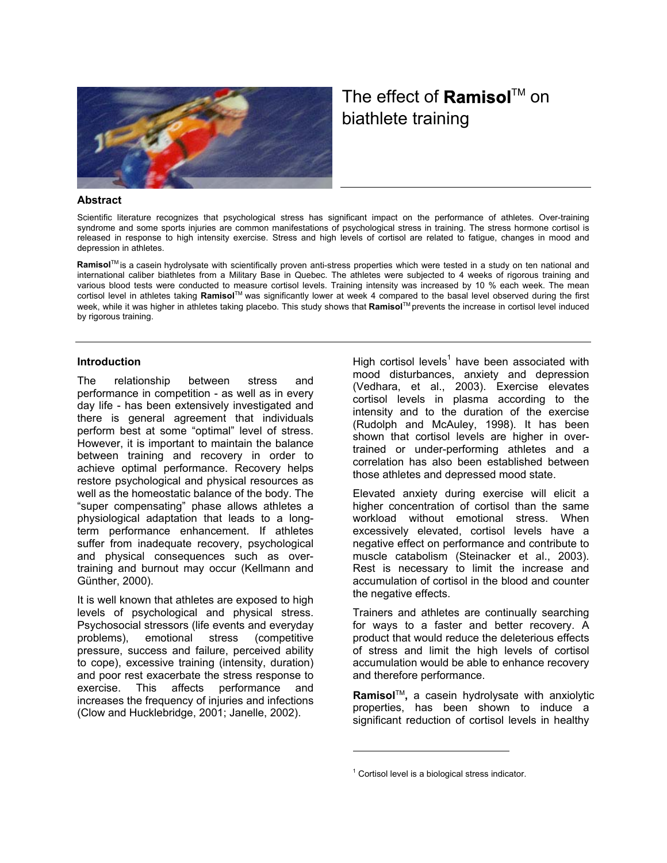

# biathlete training The effect of **Ramisol**™ on

### **Abstract**

Scientific literature recognizes that psychological stress has significant impact on the performance of athletes. Over-training syndrome and some sports injuries are common manifestations of psychological stress in training. The stress hormone cortisol is released in response to high intensity exercise. Stress and high levels of cortisol are related to fatigue, changes in mood and depression in athletes.

Ramisol<sup>™</sup> is a casein hydrolysate with scientifically proven anti-stress properties which were tested in a study on ten national and various blood tests were conducted to measure cortisol levels. Training intensity was increased by 10 % each week. The mean week, while it was higher in athletes taking placebo. This study shows that **Ramisol**<sup>TM</sup> prevents the increase in cortisol level induced by rigorous training. international caliber biathletes from a Military Base in Quebec. The athletes were subjected to 4 weeks of rigorous training and cortisol level in athletes taking Ramisol<sup>™</sup> was significantly lower at week 4 compared to the basal level observed during the first

#### **Introduction**

The relationship between stress and performance in competition - as well as in every day life - has been extensively investigated and there is general agreement that individuals perform best at some "optimal" level of stress. However, it is important to maintain the balance between training and recovery in order to achieve optimal performance. Recovery helps restore psychological and physical resources as well as the homeostatic balance of the body. The "super compensating" phase allows athletes a physiological adaptation that leads to a longterm performance enhancement. If athletes suffer from inadequate recovery, psychological and physical consequences such as overtraining and burnout may occur (Kellmann and Günther, 2000).

the negative effects. It is well known that athletes are exposed to high levels of psychological and physical stress. Psychosocial stressors (life events and everyday problems), emotional stress (competitive pressure, success and failure, perceived ability to cope), excessive training (intensity, duration) and poor rest exacerbate the stress response to exercise. This affects performance and increases the frequency of injuries and infections (Clow and Hucklebridge, 2001; Janelle, 2002).

Highcortisol levels<sup>1</sup> have been associated with mood disturbances, anxiety and depression (Vedhara, et al., 2003). Exercise elevates cortisol levels in plasma according to the intensity and to the duration of the exercise (Rudolph and McAuley, 1998). It has been shown that cortisol levels are higher in overtrained or under-performing athletes and a correlation has also been established between those athletes and depressed mood state.

Elevated anxiety during exercise will elicit a higher concentration of cortisol than the same workload without emotional stress. When excessively elevated, cortisol levels have a negative effect on performance and contribute to muscle catabolism (Steinacker et al., 2003). Rest is necessary to limit the increase and accumulation of cortisol in the blood and counter

Trainers and athletes are continually searching for ways to a faster and better recovery. A product that would reduce the deleterious effects of stress and limit the high levels of cortisol accumulation would be able to enhance recovery and therefore performance.

properties, has been shown to induce a significant reduction of cortisol levels in healthy **Ramisol**TM**,** a casein hydrolysate with anxiolytic

1

<span id="page-0-0"></span> $1$  Cortisol level is a biological stress indicator.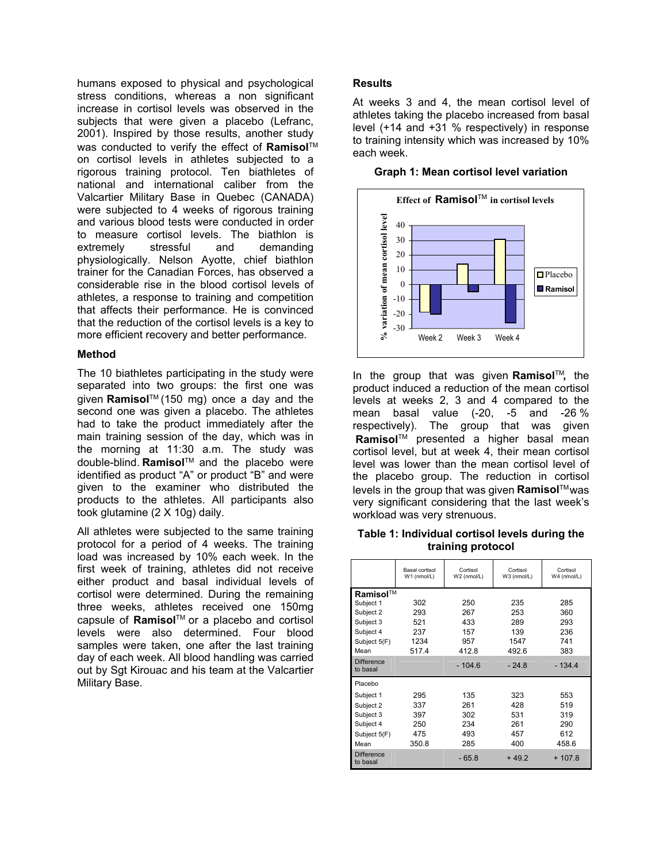humans exposed to physical and psychological stress conditions, whereas a non significant increase in cortisol levels was observed in the subjects that were given a placebo (Lefranc, 2001). Inspired by those results, another study was conducted to verify the effect of **Ramisol**™ on cortisol levels in athletes subjected to a rigorous training protocol. Ten biathletes of national and international caliber from the Valcartier Military Base in Quebec (CANADA) were subjected to 4 weeks of rigorous training and various blood tests were conducted in order to measure cortisol levels. The biathlon is extremely stressful and demanding physiologically. Nelson Ayotte, chief biathlon trainer for the Canadian Forces, has observed a considerable rise in the blood cortisol levels of athletes, a response to training and competition that affects their performance. He is convinced that the reduction of the cortisol levels is a key to more efficient recovery and better performance.

# **Method**

The 10 biathletes participating in the study were separated into two groups: the first one was given **Ramisol**™ (150 mg) once a day and the second one was given a placebo. The athletes had to take the product immediately after the main training session of the day, which was in the morning at 11:30 a.m. The study was double-blind. Ramisol<sup>™</sup> and the placebo were identified as product "A" or product "B" and were given to the examiner who distributed the products to the athletes. All participants also took glutamine (2 X 10g) daily.

All athletes were subjected to the same training protocol for a period of 4 weeks. The training load was increased by 10% each week. In the first week of training, athletes did not receive either product and basal individual levels of cortisol were determined. During the remaining three weeks, athletes received one 150mg capsule of **Ramisol**™ or a placebo and cortisol levels were also determined. Four blood samples were taken, one after the last training day of each week. All blood handling was carried out by Sgt Kirouac and his team at the Valcartier Military Base.

# **Results**

At weeks 3 and 4, the mean cortisol level of athletes taking the placebo increased from basal level (+14 and +31 % respectively) in response to training intensity which was increased by 10% each week.

| % variation of mean cortisol level<br>40<br>30<br>20<br>10<br>0<br>$-10$ |  | $\Box$ Placebo<br><b>Ramisol</b> |
|--------------------------------------------------------------------------|--|----------------------------------|
| $-20$<br>$-30$                                                           |  |                                  |

### **Graph 1: Mean cortisol level variation**

In the group that was given **Ramisol**™, the product induced a reduction of the mean cortisol levels at weeks 2, 3 and 4 compared to the mean basal value (-20, -5 and -26 % respectively). The group that was given **Ramisol**™ presented a higher basal mean cortisol level, but at week 4, their mean cortisol level was lower than the mean cortisol level of the placebo group. The reduction in cortisol levels in the group that was given **Ramisol**™was very significant considering that the last week's workload was very strenuous.

## **Table 1: Individual cortisol levels during the training protocol**

|                                                                                      | Basal cortisol<br>W1 (nmol/L)             | Cortisol<br>W2 (nmol/L)                  | Cortisol<br>W3 (nmol/L)                   | Cortisol<br>W4 (nmol/L)                  |
|--------------------------------------------------------------------------------------|-------------------------------------------|------------------------------------------|-------------------------------------------|------------------------------------------|
| Ramisol™<br>Subject 1<br>Subject 2<br>Subject 3<br>Subject 4<br>Subject 5(F)<br>Mean | 302<br>293<br>521<br>237<br>1234<br>517.4 | 250<br>267<br>433<br>157<br>957<br>412.8 | 235<br>253<br>289<br>139<br>1547<br>492.6 | 285<br>360<br>293<br>236<br>741<br>383   |
| <b>Difference</b><br>to basal                                                        |                                           | $-104.6$                                 | $-24.8$                                   | $-134.4$                                 |
| Placebo<br>Subject 1<br>Subject 2<br>Subject 3<br>Subject 4<br>Subject 5(F)<br>Mean  | 295<br>337<br>397<br>250<br>475<br>350.8  | 135<br>261<br>302<br>234<br>493<br>285   | 323<br>428<br>531<br>261<br>457<br>400    | 553<br>519<br>319<br>290<br>612<br>458.6 |
| <b>Difference</b><br>to basal                                                        |                                           | $-65.8$                                  | $+49.2$                                   | $+107.8$                                 |